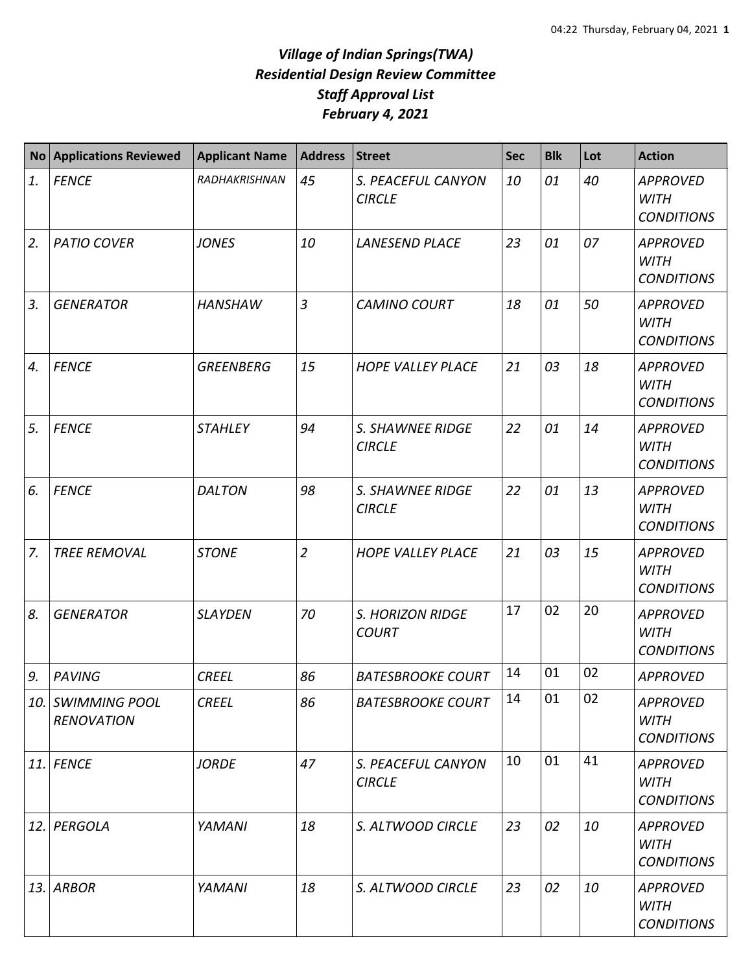## *Village of Indian Springs(TWA) Residential Design Review Committee Staff Approval List February 4, 2021*

| <b>No</b> | <b>Applications Reviewed</b>           | <b>Applicant Name</b> | <b>Address</b> | Street                              | <b>Sec</b> | <b>Blk</b> | Lot | <b>Action</b>                                       |
|-----------|----------------------------------------|-----------------------|----------------|-------------------------------------|------------|------------|-----|-----------------------------------------------------|
| 1.        | <b>FENCE</b>                           | RADHAKRISHNAN         | 45             | S. PEACEFUL CANYON<br><b>CIRCLE</b> | 10         | 01         | 40  | <b>APPROVED</b><br><b>WITH</b><br><b>CONDITIONS</b> |
| 2.        | <b>PATIO COVER</b>                     | <b>JONES</b>          | 10             | <b>LANESEND PLACE</b>               | 23         | 01         | 07  | <b>APPROVED</b><br><b>WITH</b><br><b>CONDITIONS</b> |
| 3.        | <b>GENERATOR</b>                       | <b>HANSHAW</b>        | $\overline{3}$ | <b>CAMINO COURT</b>                 | 18         | 01         | 50  | <b>APPROVED</b><br><b>WITH</b><br><b>CONDITIONS</b> |
| 4.        | <b>FENCE</b>                           | <b>GREENBERG</b>      | 15             | <b>HOPE VALLEY PLACE</b>            | 21         | 03         | 18  | <b>APPROVED</b><br><b>WITH</b><br><b>CONDITIONS</b> |
| 5.        | <b>FENCE</b>                           | <b>STAHLEY</b>        | 94             | S. SHAWNEE RIDGE<br><b>CIRCLE</b>   | 22         | 01         | 14  | <b>APPROVED</b><br><b>WITH</b><br><b>CONDITIONS</b> |
| 6.        | <b>FENCE</b>                           | <b>DALTON</b>         | 98             | S. SHAWNEE RIDGE<br><b>CIRCLE</b>   | 22         | 01         | 13  | <b>APPROVED</b><br><b>WITH</b><br><b>CONDITIONS</b> |
| 7.        | <b>TREE REMOVAL</b>                    | <b>STONE</b>          | $\overline{2}$ | <b>HOPE VALLEY PLACE</b>            | 21         | 03         | 15  | <b>APPROVED</b><br><b>WITH</b><br><b>CONDITIONS</b> |
| 8.        | <b>GENERATOR</b>                       | <b>SLAYDEN</b>        | 70             | S. HORIZON RIDGE<br><b>COURT</b>    | 17         | 02         | 20  | <b>APPROVED</b><br><b>WITH</b><br><b>CONDITIONS</b> |
| 9.        | <b>PAVING</b>                          | <b>CREEL</b>          | 86             | <b>BATESBROOKE COURT</b>            | 14         | 01         | 02  | <b>APPROVED</b>                                     |
|           | 10. SWIMMING POOL<br><b>RENOVATION</b> | <b>CREEL</b>          | 86             | <b>BATESBROOKE COURT</b>            | 14         | 01         | 02  | <b>APPROVED</b><br><b>WITH</b><br><b>CONDITIONS</b> |
|           | $11.$ FENCE                            | <b>JORDE</b>          | 47             | S. PEACEFUL CANYON<br><b>CIRCLE</b> | 10         | 01         | 41  | <b>APPROVED</b><br><b>WITH</b><br><b>CONDITIONS</b> |
|           | 12. PERGOLA                            | YAMANI                | 18             | S. ALTWOOD CIRCLE                   | 23         | 02         | 10  | <b>APPROVED</b><br><b>WITH</b><br><b>CONDITIONS</b> |
|           | 13. ARBOR                              | <b>YAMANI</b>         | 18             | S. ALTWOOD CIRCLE                   | 23         | 02         | 10  | <b>APPROVED</b><br><b>WITH</b><br><b>CONDITIONS</b> |